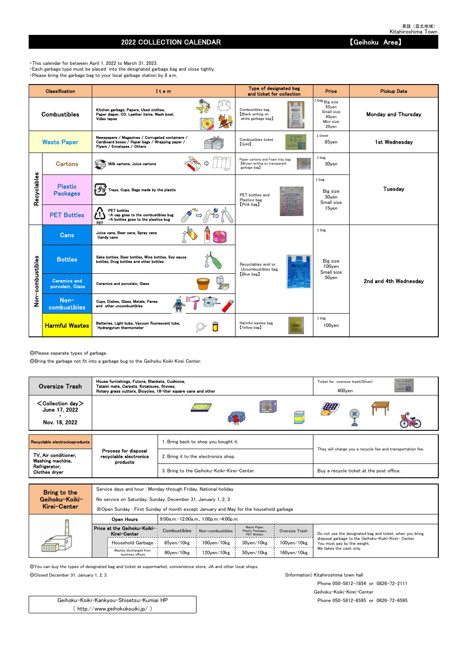## 2022 COLLECTION CALENDAR **No. 2022 COLLECTION CALENDAR**

◎Please separate types of garbage.

◎Bring the garbage not fit into a garbage bug to the Geihoku Koiki Kirei Center.

Service days and hour : Monday through Friday, National holiday

No service on Saturday, Sunday, December 31, January 1, 2, 3

◎You can buy the types of designated bag and ticket at supermarket, convenience store, JA and other local shops.

◎Closed December 31, January 1, 2, 3. (Information) Kitahiroshima town hall

Phone 050-5812-1854 or 0826-72-2111

Geihoku-Koiki-Kirei-Center

Phone 050-5812-6595 or 0826-72-6595

・This calendar for between April 1, 2022 to March 31, 2023. ・Each garbage type must be placed into the designated garbage bag and close tightly. ・Please bring the garbage bag to your local garbage station by 8 a.m.

|                  | Classification                          | Item                                                                                                                               | Type of designated bag<br>and ticket for collection                             | Price                                                                      | <b>Pickup Date</b>         |
|------------------|-----------------------------------------|------------------------------------------------------------------------------------------------------------------------------------|---------------------------------------------------------------------------------|----------------------------------------------------------------------------|----------------------------|
|                  | <b>Combustibles</b>                     | Kitchen garbage, Papers, Used clothes,<br>Paper diaper, CD, Leather items, Wash bowl,<br>Video tapes                               | Combustibles bag<br>Black writing on<br>white garbage bag)                      | 1 bag Big size<br>$65$ yen<br>Small size<br>40yen<br>Mini size<br>$20$ yen | <b>Monday and Thursday</b> |
|                  | <b>Waste Paper</b>                      | Newspapers / Magazines / Corrugated containers /<br>Cardboard boxes / Paper bags / Wrapping paper /<br>Flyers / Envelopes / Others | ごみ処理券<br>Combustibles ticket<br>65円<br>$[\text{Gold}]$<br>主出 地界塔 田              | 1 sheet<br>$65$ yen                                                        | 1st Wednesday              |
|                  | <b>Cartons</b>                          | 紙/WS Milk cartons, Juice cartons                                                                                                   | Paper cartons and Foam tray bag<br>Brown writing on transparent<br>garbage bag) | 1 bag<br>30yen                                                             |                            |
| Recyclables      | <b>Plastic</b><br><b>Packages</b>       | Trays, Cups, Bags made by the plastic                                                                                              | PET bottles and<br>Plastics bag<br>[Pink bag]                                   | 1 bag<br>Big size<br>30yen<br>Small size                                   | Tuesday                    |
|                  | <b>PET Bottles</b>                      | <b>PET</b> bottles<br>-A cap goes to the combustibles bug<br>-A bottles goes to the plastics bug<br>PET                            |                                                                                 | 15ven                                                                      |                            |
|                  | <b>Cans</b>                             | Juice cans, Beer cans, Spray cans<br>Candy cans                                                                                    |                                                                                 | 1 bag                                                                      |                            |
|                  | <b>Bottles</b>                          | Sake bottles, Beer bottles, Wine bottles, Soy sauce<br>bottles, Drug bottles and other bottles                                     | Recvolables and/or<br>Uncombustibles bag                                        | Big size<br>100yen<br>Small size                                           |                            |
| Non-combustibles | <b>Ceramics and</b><br>porcelain, Glass | Ceramics and porcelain, Glass                                                                                                      | [Blue bag]                                                                      | 50yen                                                                      | 2nd and 4th Wednesdav      |
|                  | Non-<br>combustibles                    | Cups, Dishes, Glass, Metals, Panes<br>and other uncombustibles                                                                     |                                                                                 |                                                                            |                            |
|                  | <b>Harmful Wastes</b>                   | Batteries, Light bubs, Vacuum fluorescent tube,<br>Hydrargyrum thermometer                                                         | Harmful wastes bag<br>[Yellow bag]                                              | 1 bag<br>100yen                                                            |                            |

| MIGI VEILEI | X Open Sunday: First Sunday of month except January and May for the household garbage |              |                                       |                                                         |                    |                                                                                     |  |  |  |  |  |  |  |
|-------------|---------------------------------------------------------------------------------------|--------------|---------------------------------------|---------------------------------------------------------|--------------------|-------------------------------------------------------------------------------------|--|--|--|--|--|--|--|
|             | Open Hours                                                                            |              | 9:00a.m.-12:00a.m., 1:00p.m.-4:00p.m. |                                                         |                    |                                                                                     |  |  |  |  |  |  |  |
|             | Price at the Geihoku-Koiki-<br>Kirei-Center                                           | Combustibles | Non-combustibles                      | Waste Paper.<br>Plastic Packages,<br><b>PET Bottles</b> | Oversize Trash     | Do not use the designated bag and ticket, when you bring                            |  |  |  |  |  |  |  |
| 000000      | Household Garbage                                                                     | 65ven/10kg   | $100$ ven $/10$ kg                    | 30ven/10kg                                              | $100$ yen $/10$ kg | disposal garbage to the Geihoku-Koiki-Kirei- Center.<br>You must pay by the weight. |  |  |  |  |  |  |  |
|             | Wastes discharged from<br>business offices                                            | 90ven/10kg   | 120ven/10kg                           | 50ven/10kg                                              | $160$ ven $/10$ kg | We takes the cash only.                                                             |  |  |  |  |  |  |  |

Geihoku-Koiki-Kankyou-Shisetsu-Kumiai HP ( http://www.geihokukouiki.jp/ )

| <b>Oversize Trash</b>                                                | House furnishings, Futons, Blankets, Cushions,<br>Tatami mats, Carpets, Kotatsues, Stoves,<br>Rotary grass cutters, Bicycles, 18-liter square cans and other |                                             | 粗大ごみ処理器<br>Ticket for oversize trash (Silver)<br>400円<br><b>FARMING BERTH</b><br>$400$ ven |
|----------------------------------------------------------------------|--------------------------------------------------------------------------------------------------------------------------------------------------------------|---------------------------------------------|--------------------------------------------------------------------------------------------|
| $\langle$ Collection day $\rangle$<br>June 17, 2022<br>Nov. 18, 2022 |                                                                                                                                                              | E.                                          |                                                                                            |
| Recyclable electronicsproducts                                       |                                                                                                                                                              | . Bring back to shop you bought it.         |                                                                                            |
| TV, Air conditioner,<br>Washing machine,                             | Process for disposal<br>recyclable electronics<br>products                                                                                                   | 2. Bring it to the electronics shop.        | They will charge you a recycle fee and transportation fee.                                 |
| Refrigerator,<br>Clothes dryer                                       |                                                                                                                                                              | 3. Bring to the Geihoku-Koiki-Kirei-Center. | Buy a recycle ticket at the post office.                                                   |
|                                                                      |                                                                                                                                                              |                                             |                                                                                            |

| Bring to the   |
|----------------|
| Geihoku−Koiki− |
| Kirei-Center   |